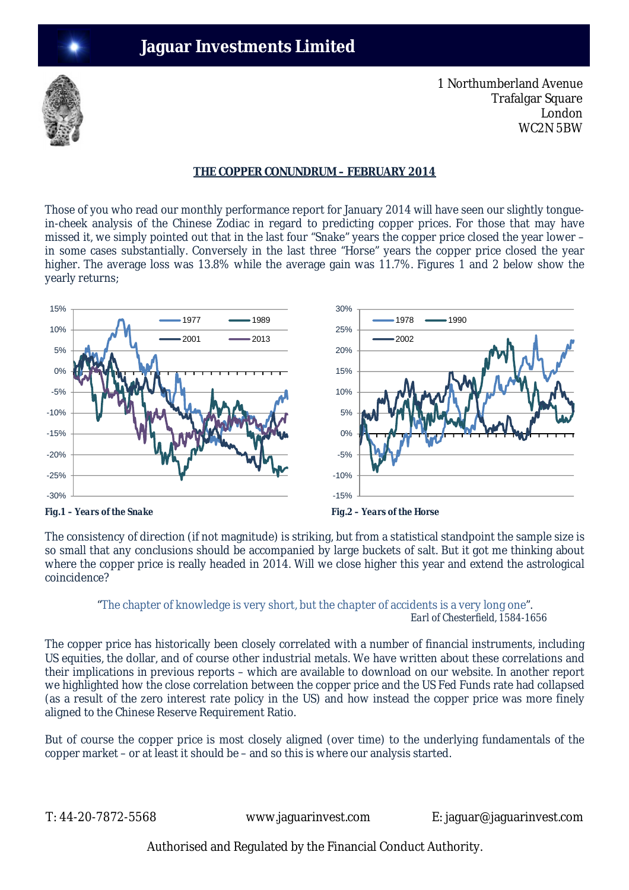# **Jaguar Investments Limited**



1 Northumberland Avenue Trafalgar Square London WC2N 5BW

### **THE COPPER CONUNDRUM – FEBRUARY 2014**

Those of you who read our monthly performance report for January 2014 will have seen our slightly tonguein-cheek analysis of the Chinese Zodiac in regard to predicting copper prices. For those that may have missed it, we simply pointed out that in the last four "Snake" years the copper price closed the year lower – in some cases substantially. Conversely in the last three "Horse" years the copper price closed the year higher. The average loss was 13.8% while the average gain was 11.7%. Figures 1 and 2 below show the yearly returns;



The consistency of direction (if not magnitude) is striking, but from a statistical standpoint the sample size is so small that any conclusions should be accompanied by large buckets of salt. But it got me thinking about where the copper price is really headed in 2014. Will we close higher this year and extend the astrological coincidence?

#### "The chapter of knowledge is very short, but the chapter of accidents is a very long one".  *Earl of Chesterfield, 1584-1656*

The copper price has historically been closely correlated with a number of financial instruments, including US equities, the dollar, and of course other industrial metals. We have written about these correlations and their implications in previous reports – which are available to download on our website. In another report we highlighted how the close correlation between the copper price and the US Fed Funds rate had collapsed (as a result of the zero interest rate policy in the US) and how instead the copper price was more finely aligned to the Chinese Reserve Requirement Ratio.

But of course the copper price is most closely aligned (over time) to the underlying fundamentals of the copper market – or at least it should be – and so this is where our analysis started.

T: 44-20-7872-5568 www.jaguarinvest.com E: jaguar@jaguarinvest.com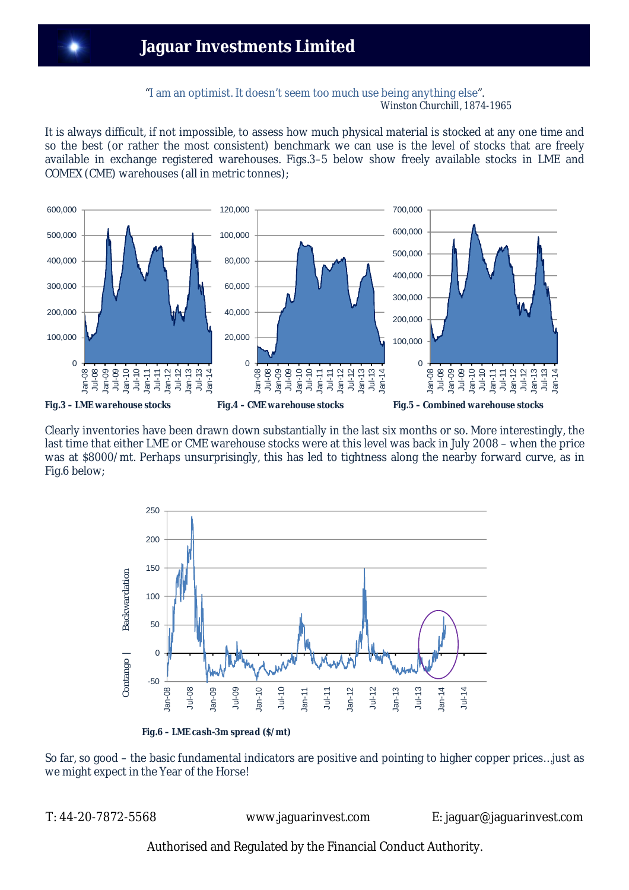### "I am an optimist. It doesn't seem too much use being anything else". *Winston Churchill, 1874-1965*

It is always difficult, if not impossible, to assess how much physical material is stocked at any one time and so the best (or rather the most consistent) benchmark we can use is the level of stocks that are freely available in exchange registered warehouses. Figs.3–5 below show freely available stocks in LME and COMEX (CME) warehouses (all in metric tonnes);



Clearly inventories have been drawn down substantially in the last six months or so. More interestingly, the last time that either LME or CME warehouse stocks were at this level was back in July 2008 – when the price was at \$8000/mt. Perhaps unsurprisingly, this has led to tightness along the nearby forward curve, as in Fig.6 below;



 *Fig.6 – LME cash-3m spread (\$/mt)*

So far, so good – the basic fundamental indicators are positive and pointing to higher copper prices…just as we might expect in the Year of the Horse!

T: 44-20-7872-5568 www.jaguarinvest.com E: jaguar@jaguarinvest.com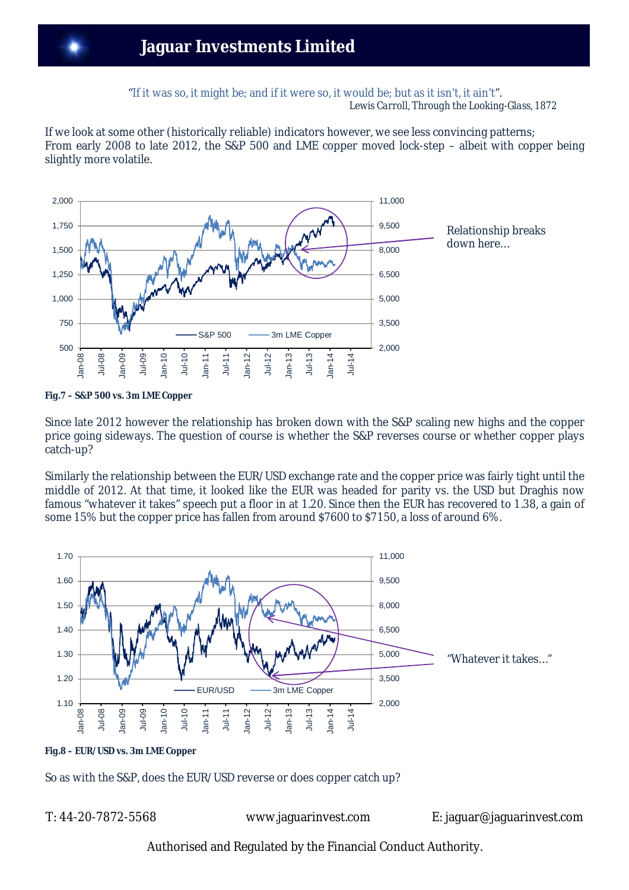## **Jaguar Investments Limited**

"If it was so, it might be; and if it were so, it would be; but as it isn't, it ain't". *Lewis Carroll, Through the Looking-Glass, 1872*

If we look at some other (historically reliable) indicators however, we see less convincing patterns; From early 2008 to late 2012, the S&P 500 and LME copper moved lock-step – albeit with copper being slightly more volatile.



*Fig.7 – S&P 500 vs. 3m LME Copper*

Since late 2012 however the relationship has broken down with the S&P scaling new highs and the copper price going sideways. The question of course is whether the S&P reverses course or whether copper plays catch-up?

Similarly the relationship between the EUR/USD exchange rate and the copper price was fairly tight until the middle of 2012. At that time, it looked like the EUR was headed for parity vs. the USD but Draghis now famous "whatever it takes" speech put a floor in at 1.20. Since then the EUR has recovered to 1.38, a gain of some 15% but the copper price has fallen from around \$7600 to \$7150, a loss of around 6%.



### *Fig.8 – EUR/USD vs. 3m LME Copper*

So as with the S&P, does the EUR/USD reverse or does copper catch up?

T: 44-20-7872-5568 www.jaguarinvest.com E: jaguar@jaguarinvest.com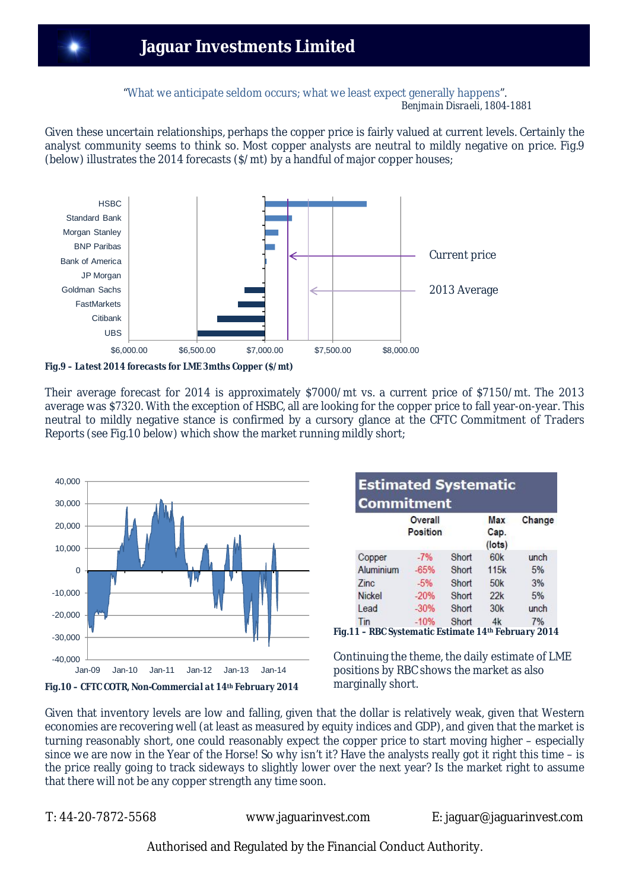"What we anticipate seldom occurs; what we least expect generally happens".  *Benjmain Disraeli, 1804-1881*

Given these uncertain relationships, perhaps the copper price is fairly valued at current levels. Certainly the analyst community seems to think so. Most copper analysts are neutral to mildly negative on price. Fig.9 (below) illustrates the 2014 forecasts (\$/mt) by a handful of major copper houses;



*Fig.9 – Latest 2014 forecasts for LME 3mths Copper (\$/mt)*

Their average forecast for 2014 is approximately \$7000/mt vs. a current price of \$7150/mt. The 2013 average was \$7320. With the exception of HSBC, all are looking for the copper price to fall year-on-year. This neutral to mildly negative stance is confirmed by a cursory glance at the CFTC Commitment of Traders Reports (see Fig.10 below) which show the market running mildly short;



|               | Overall<br>Position |       | Max<br>Cap.<br>$($ lots $)$ | Change |
|---------------|---------------------|-------|-----------------------------|--------|
| Copper        | $-7%$               | Short | 60 <sub>k</sub>             | unch   |
| Aluminium     | $-65%$              | Short | 115k                        | 5%     |
| Zinc.         | $-5%$               | Short | 50 <sub>k</sub>             | 3%     |
| <b>Nickel</b> | $-20%$              | Short | 22k                         | 5%     |
| Lead          | $-30%$              | Short | 30k                         | unch   |
| Tin           | $-10%$              | Short | 4k                          | 7%     |

Continuing the theme, the daily estimate of LME positions by RBC shows the market as also marginally short.

Given that inventory levels are low and falling, given that the dollar is relatively weak, given that Western economies are recovering well (at least as measured by equity indices and GDP), and given that the market is turning reasonably short, one could reasonably expect the copper price to start moving higher – especially since we are now in the Year of the Horse! So why isn't it? Have the analysts really got it right this time – is the price really going to track sideways to slightly lower over the next year? Is the market right to assume that there will not be any copper strength any time soon.

T: 44-20-7872-5568 www.jaguarinvest.com E: jaguar@jaguarinvest.com